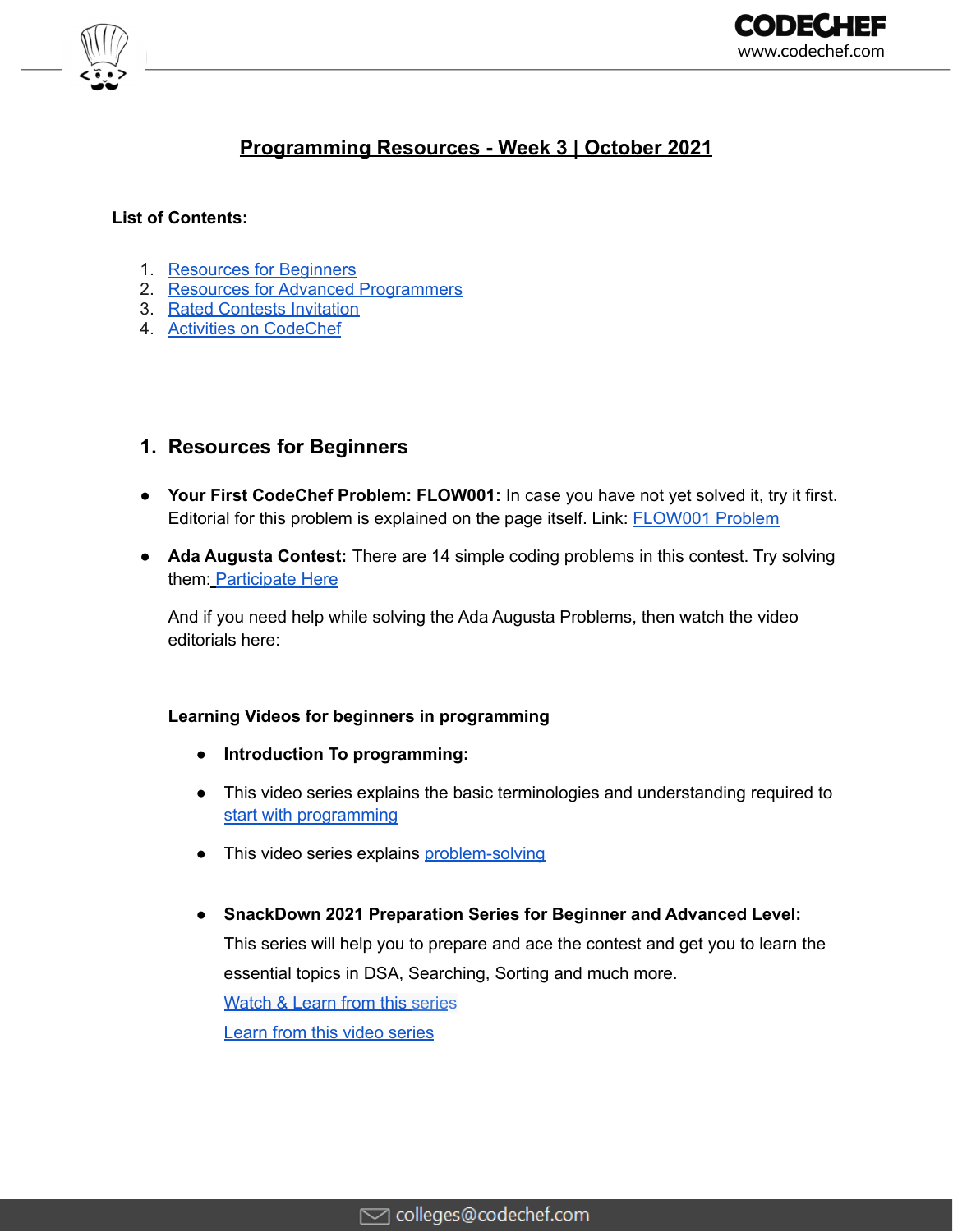

# **Programming Resources - Week 3 | October 2021**

#### **List of Contents:**

- 1. Resources for Beginners
- 2. Resources for Advanced Programmers
- 3. Rated Contests Invitation
- 4. Activities on CodeChef

## **1. Resources for Beginners**

- **Your First CodeChef Problem: FLOW001:** In case you have not yet solved it, try it first. Editorial for this problem is explained on the page itself. Link: [FLOW001](https://www.codechef.com/problems/FLOW001?utm_source=email&utm_medium=outreach&utm_campaign=CC_Contests) Problem
- **Ada Augusta Contest:** There are 14 simple coding problems in this contest. Try solving them: [Participate](https://www.codechef.com/CCADAAUG?utm_source=email&utm_medium=outreach&utm_campaign=Augusta) Here

And if you need help while solving the Ada Augusta Problems, then watch the video editorials here:

#### **Learning Videos for beginners in programming**

- **● Introduction To programming:**
- This video series explains the basic terminologies and understanding required to start with [programming](https://youtube.com/playlist?list=PLQXZIFwMtjowmOYVEIxMBHNLm9nm8QwjL)
- This video series explains [problem-solving](https://bit.ly/3kTI1ft)
- **● SnackDown 2021 Preparation Series for Beginner and Advanced Level:**

This series will help you to prepare and ace the contest and get you to learn the essential topics in DSA, Searching, Sorting and much more.

[Watch](https://bit.ly/3mbXVBd) & Learn from this series Learn from this video [series](https://www.youtube.com/playlist?list=PLQXZIFwMtjoyIWYj641WAdK8fLSSKJoLZ)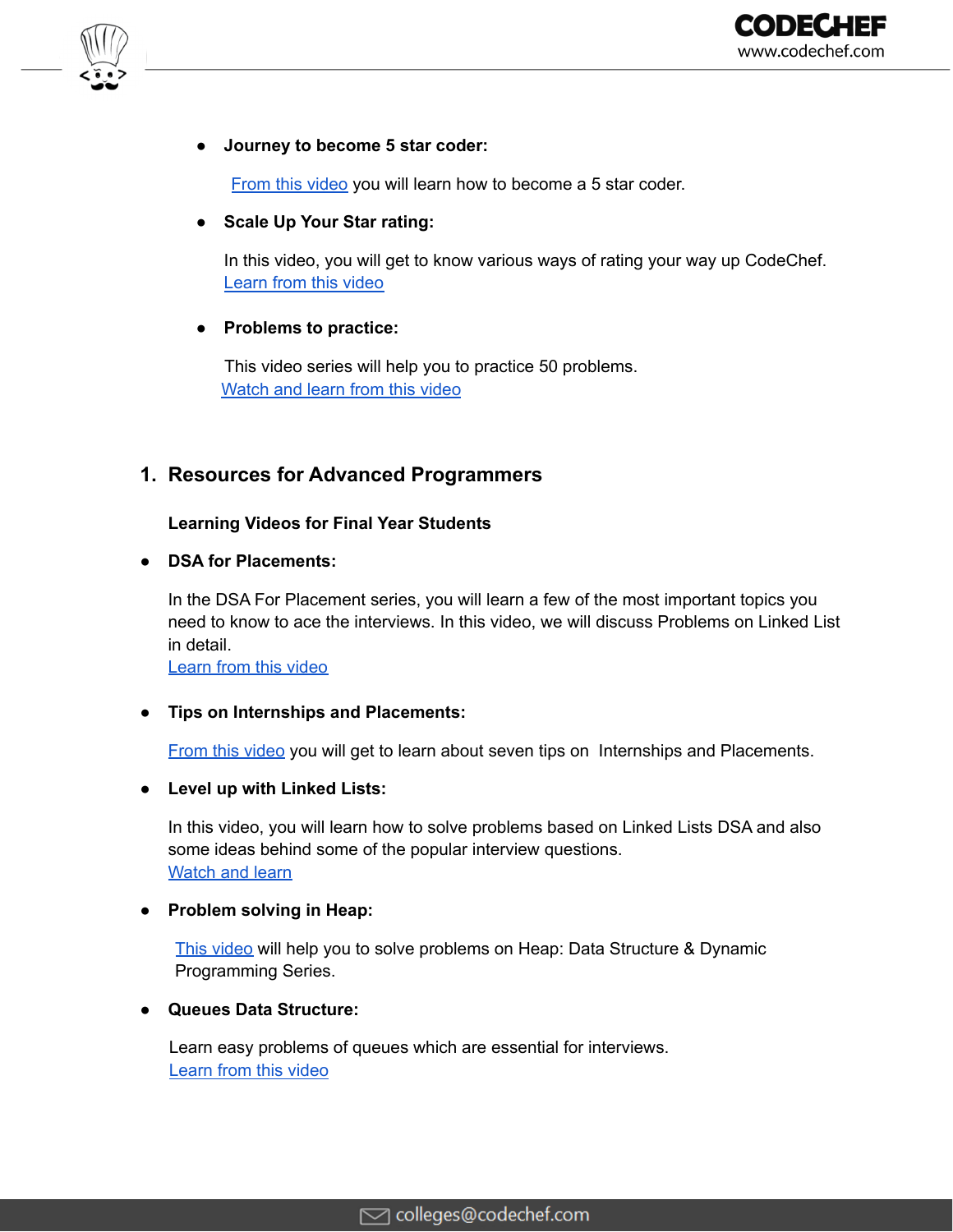

#### **● Journey to become 5 star coder:**

From this [video](https://youtu.be/xAVTRuEHXDw) you will learn how to become a 5 star coder.

#### **● Scale Up Your Star rating:**

In this video, you will get to know various ways of rating your way up CodeChef. [Learn](https://youtu.be/9uj47Sd8kNA) from this video

#### **● Problems to practice:**

This video series will help you to practice 50 problems. [Watch](https://www.youtube.com/playlist?list=PLQXZIFwMtjowmOYVEIxMBHNLm9nm8QwjL) and learn from this video

## **1. Resources for Advanced Programmers**

#### **Learning Videos for Final Year Students**

#### **● DSA for Placements:**

In the DSA For Placement series, you will learn a few of the most important topics you need to know to ace the interviews. In this video, we will discuss Problems on Linked List in detail.

[Learn](https://bit.ly/3zUgPRY) from this video

#### **● Tips on Internships and Placements:**

From this [video](https://youtu.be/vUsQP9uyKRk) you will get to learn about seven tips on Internships and Placements.

#### **● Level up with Linked Lists:**

In this video, you will learn how to solve problems based on Linked Lists DSA and also some ideas behind some of the popular interview questions. [Watch](https://youtu.be/LDQIZclcBx0) and learn

#### **● Problem solving in Heap:**

This [video](https://youtu.be/eX2X-vOn4hM) will help you to solve problems on Heap: Data Structure & Dynamic Programming Series.

#### **● Queues Data Structure:**

Learn easy problems of queues which are essential for interviews. [Learn](https://youtu.be/95J62uqwIGE) from this video